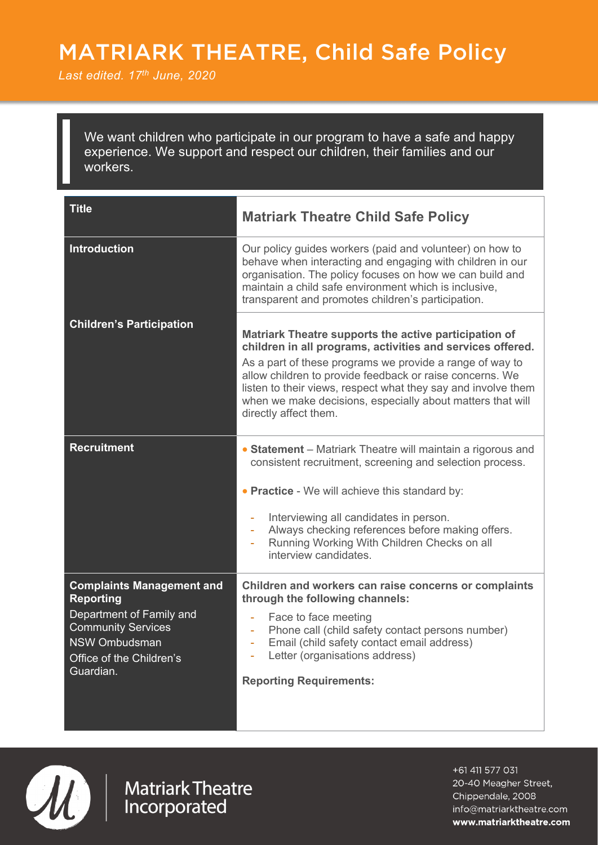# MATRIARK THEATRE, Child Safe Policy

` *Last edited. 17th June, 2020*

We want children who participate in our program to have a safe and happy experience. We support and respect our children, their families and our workers.

| <b>Title</b>                                                                                                                                                            | <b>Matriark Theatre Child Safe Policy</b>                                                                                                                                                                                                                                                                                                                                                           |
|-------------------------------------------------------------------------------------------------------------------------------------------------------------------------|-----------------------------------------------------------------------------------------------------------------------------------------------------------------------------------------------------------------------------------------------------------------------------------------------------------------------------------------------------------------------------------------------------|
| <b>Introduction</b>                                                                                                                                                     | Our policy guides workers (paid and volunteer) on how to<br>behave when interacting and engaging with children in our<br>organisation. The policy focuses on how we can build and<br>maintain a child safe environment which is inclusive,<br>transparent and promotes children's participation.                                                                                                    |
| <b>Children's Participation</b>                                                                                                                                         | Matriark Theatre supports the active participation of<br>children in all programs, activities and services offered.<br>As a part of these programs we provide a range of way to<br>allow children to provide feedback or raise concerns. We<br>listen to their views, respect what they say and involve them<br>when we make decisions, especially about matters that will<br>directly affect them. |
| <b>Recruitment</b>                                                                                                                                                      | • Statement - Matriark Theatre will maintain a rigorous and<br>consistent recruitment, screening and selection process.<br>• Practice - We will achieve this standard by:<br>Interviewing all candidates in person.<br>Always checking references before making offers.<br>$\blacksquare$<br>Running Working With Children Checks on all<br>÷<br>interview candidates.                              |
| <b>Complaints Management and</b><br><b>Reporting</b><br>Department of Family and<br><b>Community Services</b><br>NSW Ombudsman<br>Office of the Children's<br>Guardian. | Children and workers can raise concerns or complaints<br>through the following channels:<br>Face to face meeting<br>÷,<br>Phone call (child safety contact persons number)<br>Email (child safety contact email address)<br>Letter (organisations address)<br><b>Reporting Requirements:</b>                                                                                                        |



Matriark Theatre<br>Incorporated

+61 411 577 031 20-40 Meagher Street, Chippendale, 2008 info@matriarktheatre.com www.matriarktheatre.com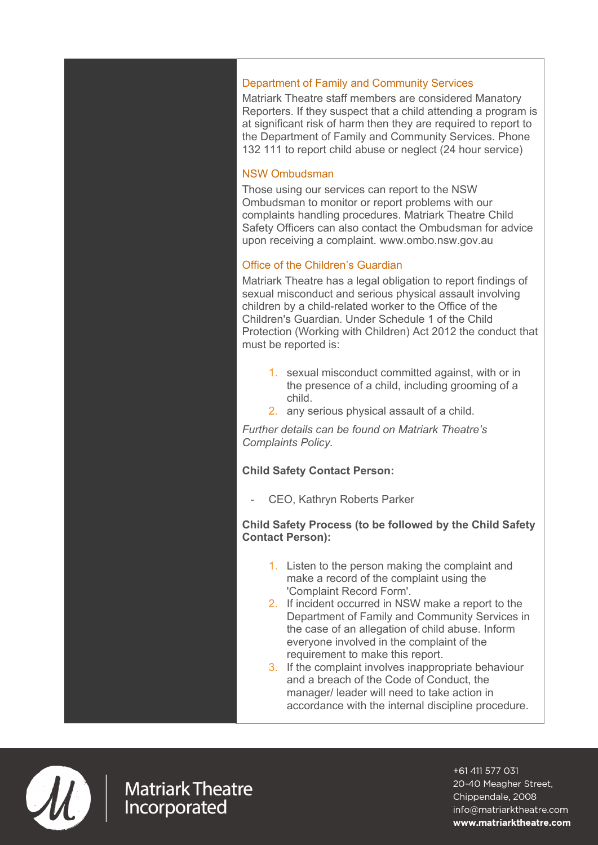# Department of Family and Community Services

Matriark Theatre staff members are considered Manatory Reporters. If they suspect that a child attending a program is at significant risk of harm then they are required to report to the Department of Family and Community Services. Phone 132 111 to report child abuse or neglect (24 hour service)

## NSW Ombudsman

Those using our services can report to the NSW Ombudsman to monitor or report problems with our complaints handling procedures. Matriark Theatre Child Safety Officers can also contact the Ombudsman for advice upon receiving a complaint. www.ombo.nsw.gov.au

## Office of the Children's Guardian

Matriark Theatre has a legal obligation to report findings of sexual misconduct and serious physical assault involving children by a child-related worker to the Office of the Children's Guardian. Under Schedule 1 of the Child Protection (Working with Children) Act 2012 the conduct that must be reported is:

- 1. sexual misconduct committed against, with or in the presence of a child, including grooming of a child.
- 2. any serious physical assault of a child.

*Further details can be found on Matriark Theatre's Complaints Policy.*

#### **Child Safety Contact Person:**

CEO, Kathryn Roberts Parker

#### **Child Safety Process (to be followed by the Child Safety Contact Person):**

- 1. Listen to the person making the complaint and make a record of the complaint using the 'Complaint Record Form'.
- 2. If incident occurred in NSW make a report to the Department of Family and Community Services in the case of an allegation of child abuse. Inform everyone involved in the complaint of the requirement to make this report.
- 3. If the complaint involves inappropriate behaviour and a breach of the Code of Conduct, the manager/ leader will need to take action in accordance with the internal discipline procedure.



**Matriark Theatre** Incorporated

+61 411 577 031 20-40 Meagher Street, Chippendale, 2008 info@matriarktheatre.com www.matriarktheatre.com